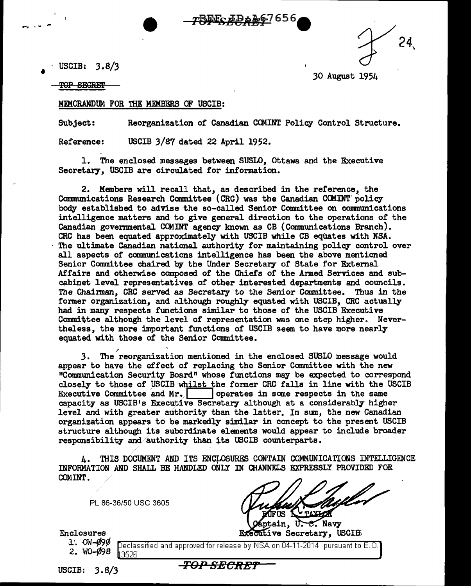USCIB:  $3.8/3$ <br>TOP SECRET

.30 August 1954

*r24,* 

## MEMORANDUM FOR THE MEMBERS OF USCIB:

Subject: Reorganization of Canadian CCMINT. Policy Control Structure.

<u>rREF AD 1267656</u>

Reference: USCIB  $3/87$  dated 22 April 1952.

1. The enclosed messages between SUSLO, ottawa and the Executive Secretary, USCIB are circulated for information.

2. Members will recall that, as described in the reference, the Communications Research Committee (CRC) was the Canadian COMINT policy body established to advise the so-called Senior Committee on communications intelligence matters and to give general direction to the operations of the Canadian governmental COMINT agency known as CB (Communications Branch). CRC has been equated approximately with USCIB while CB equates with NSA. The ultimate Canadian national authority for maintaining policy control over all aspects of communications intelligence has been the above mentioned Senior Committee chaired by the Under Secretary of State for External Affairs and otherwise composed of the Chiefs of the Armed Services and subcabinet level representatives of other interested departments and councils. The Chaizman, CRC served as Secretary to the Senior Committee. Thus in the former organization, and although roughly equated with USCIB, CRC actually had in many respects functions similar to those of the USCIB Executive Committee although the level of representation was one step higher. Nevertheless, the more important functions of USCIB seem to have more nearly equated with those of the Senior Committee.

3. The reorganization mentioned in the enclosed SUSLO message would appear to have the effect of replacing the Senior Committee with the new "Communication Security Board" whose functions may be expected to correspond closely to those of USCIB whilst the former CRC falls in line with the USCIB Executive Committee and Mr. Operates in some respects in the same capacity as USCIB's Executive Secretary although at a considerably higher level and with greater authority than the latter. In *sum,* the new Canadian organization appears to be markedly similar in concept to the present USCIB structure although its subordinate elements would appear to include broader responsibility and authority than its USCIB counterparts.

4. THIS DOCUMENT AND ITS ENCLOSURES CONTAIN COMMUNICATIONS INTELLIGENCE ' INFORMATION AND SHALL BE HANDLED ONLY IN CHANNELS EXPRESSLY PROVIDED FOR COMINT.

PL 86-36/50 USC 3605

Enclosures

1.  $OW-490$ 

Navy ain. Executive Secretary, USCIB

2. W0-¢98 eclassified and approved for release by NSA on 04-11-2014 pursuant to E.O. 3526

USCIB:  $3.8/3$ 

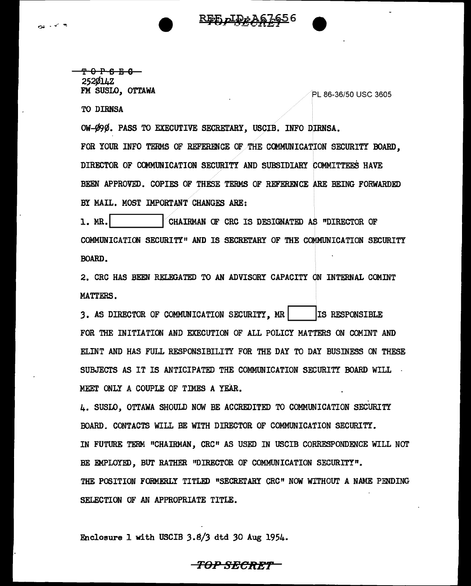<del>ዋሪ ኮዳ ቬ ቤ</del> 252Ø14Z<br>FM SUSLO, OTTAWA

PL 86-36/50 USC 3605

TO DIRNSA

OW-Ø90. PASS TO EXECUTIVE SECRETARY, USCIB. INFO DIRNSA.

FOR YOUR INFO TERMS OF REFERENCE OF THE COMMUNICATION SECURITY BOARD, DIRECTOR OF CCMMUNICATION SECURITY AND SUBSIDIARY COMMITTEES HAVE BEEN APPROVED. COPIES OF THESE TERMS OF REFERENCE ARE BEING FORWARDED BY MAIL. MOST IMPORTANT CHANGES ARE:

<u>REE ДIDAA67656</u>

1. MR. **I. M. PROFILLE ALGEMENT OF CRC** IS DESIGNATED AS "DIRECTOR OF COMMUNICATION SECURITY" AND IS SECRETARY OF THE COMMUNICATION SECURITY BOARD.

2. CRC HAS BEEN RELEGATED TO AN ADVISORY CAPACITY ON INTERNAL COMINT MATTERS.

3. AS DIRECTOR OF COMMUNICATION SECURITY, MR **IS RESPONSIBLE** FOR THE INITIATION AND EXECUTION OF ALL POLICY MATTERS ON COMINT AND ELINT AND HAS FULL RESPONSIBILITY FOR THE DAY TO DAY BUSINESS ON THESE SUBJECTS AS IT IS ANTICIPATED THE COMMUNICATION SECURITY BOARD WILL MEET ONLY A COUPLE OF TlMES A YEAR.

4. SUSLO, OTTAWA SHOULD NOW BE ACCREDITED TO COMMUNICATION SECURITY BOARD. CONTACTS WILL BE WITH DIRECTOR OF COMMUNICATION SECURITY. IN FUTURE TERM "CHAIRMAN, CRC" AS USED IN USCIB CORRESPONDENCE WILL NOT BE EMPLOYED. BUT RATHER "DIRECTOR OF COMMUNICATION SECURITY". THE POSITION FORMERLY TITLED "SECRETARY CRC" NOW WITHOUT A NAME PENDING SELECTION OF AN APPROPRIATE TITLE.

Enclosure 1 with USCIB 3.8/3 dtd *30* Aug 1954.

**TOP SRC:Rtr**